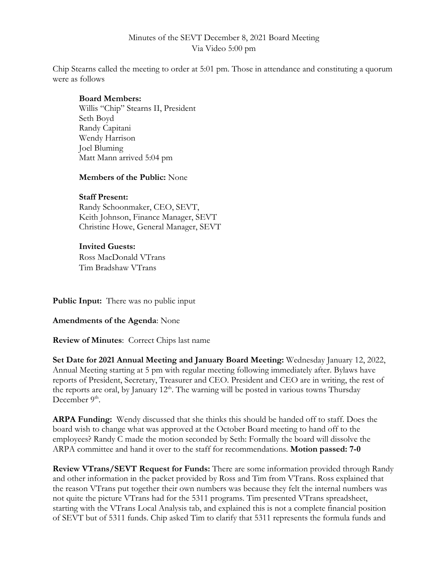# Minutes of the SEVT December 8, 2021 Board Meeting Via Video 5:00 pm

Chip Stearns called the meeting to order at 5:01 pm. Those in attendance and constituting a quorum were as follows

## **Board Members:**

Willis "Chip" Stearns II, President Seth Boyd Randy Capitani Wendy Harrison Joel Bluming Matt Mann arrived 5:04 pm

### **Members of the Public:** None

### **Staff Present:**

Randy Schoonmaker, CEO, SEVT, Keith Johnson, Finance Manager, SEVT Christine Howe, General Manager, SEVT

### **Invited Guests:**

Ross MacDonald VTrans Tim Bradshaw VTrans

**Public Input:** There was no public input

**Amendments of the Agenda**: None

**Review of Minutes**: Correct Chips last name

**Set Date for 2021 Annual Meeting and January Board Meeting:** Wednesday January 12, 2022, Annual Meeting starting at 5 pm with regular meeting following immediately after. Bylaws have reports of President, Secretary, Treasurer and CEO. President and CEO are in writing, the rest of the reports are oral, by January  $12<sup>th</sup>$ . The warning will be posted in various towns Thursday December  $9<sup>th</sup>$ .

**ARPA Funding:** Wendy discussed that she thinks this should be handed off to staff. Does the board wish to change what was approved at the October Board meeting to hand off to the employees? Randy C made the motion seconded by Seth: Formally the board will dissolve the ARPA committee and hand it over to the staff for recommendations. **Motion passed: 7-0**

**Review VTrans/SEVT Request for Funds:** There are some information provided through Randy and other information in the packet provided by Ross and Tim from VTrans. Ross explained that the reason VTrans put together their own numbers was because they felt the internal numbers was not quite the picture VTrans had for the 5311 programs. Tim presented VTrans spreadsheet, starting with the VTrans Local Analysis tab, and explained this is not a complete financial position of SEVT but of 5311 funds. Chip asked Tim to clarify that 5311 represents the formula funds and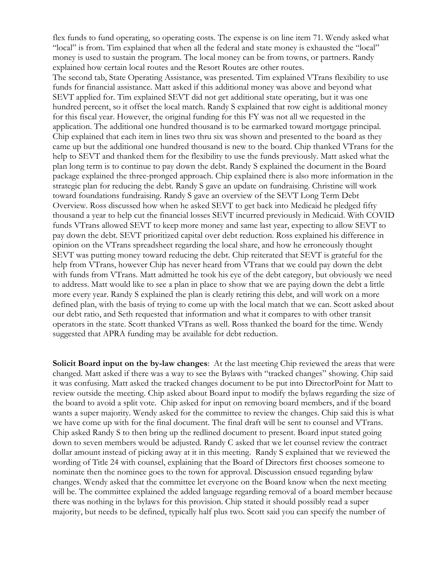flex funds to fund operating, so operating costs. The expense is on line item 71. Wendy asked what "local" is from. Tim explained that when all the federal and state money is exhausted the "local" money is used to sustain the program. The local money can be from towns, or partners. Randy explained how certain local routes and the Resort Routes are other routes.

The second tab, State Operating Assistance, was presented. Tim explained VTrans flexibility to use funds for financial assistance. Matt asked if this additional money was above and beyond what SEVT applied for. Tim explained SEVT did not get additional state operating, but it was one hundred percent, so it offset the local match. Randy S explained that row eight is additional money for this fiscal year. However, the original funding for this FY was not all we requested in the application. The additional one hundred thousand is to be earmarked toward mortgage principal. Chip explained that each item in lines two thru six was shown and presented to the board as they came up but the additional one hundred thousand is new to the board. Chip thanked VTrans for the help to SEVT and thanked them for the flexibility to use the funds previously. Matt asked what the plan long term is to continue to pay down the debt. Randy S explained the document in the Board package explained the three-pronged approach. Chip explained there is also more information in the strategic plan for reducing the debt. Randy S gave an update on fundraising. Christine will work toward foundations fundraising. Randy S gave an overview of the SEVT Long Term Debt Overview. Ross discussed how when he asked SEVT to get back into Medicaid he pledged fifty thousand a year to help cut the financial losses SEVT incurred previously in Medicaid. With COVID funds VTrans allowed SEVT to keep more money and same last year, expecting to allow SEVT to pay down the debt. SEVT prioritized capital over debt reduction. Ross explained his difference in opinion on the VTrans spreadsheet regarding the local share, and how he erroneously thought SEVT was putting money toward reducing the debt. Chip reiterated that SEVT is grateful for the help from VTrans, however Chip has never heard from VTrans that we could pay down the debt with funds from VTrans. Matt admitted he took his eye of the debt category, but obviously we need to address. Matt would like to see a plan in place to show that we are paying down the debt a little more every year. Randy S explained the plan is clearly retiring this debt, and will work on a more defined plan, with the basis of trying to come up with the local match that we can. Scott asked about our debt ratio, and Seth requested that information and what it compares to with other transit operators in the state. Scott thanked VTrans as well. Ross thanked the board for the time. Wendy suggested that APRA funding may be available for debt reduction.

**Solicit Board input on the by-law changes**: At the last meeting Chip reviewed the areas that were changed. Matt asked if there was a way to see the Bylaws with "tracked changes" showing. Chip said it was confusing. Matt asked the tracked changes document to be put into DirectorPoint for Matt to review outside the meeting. Chip asked about Board input to modify the bylaws regarding the size of the board to avoid a split vote. Chip asked for input on removing board members, and if the board wants a super majority. Wendy asked for the committee to review the changes. Chip said this is what we have come up with for the final document. The final draft will be sent to counsel and VTrans. Chip asked Randy S to then bring up the redlined document to present. Board input stated going down to seven members would be adjusted. Randy C asked that we let counsel review the contract dollar amount instead of picking away at it in this meeting. Randy S explained that we reviewed the wording of Title 24 with counsel, explaining that the Board of Directors first chooses someone to nominate then the nominee goes to the town for approval. Discussion ensued regarding bylaw changes. Wendy asked that the committee let everyone on the Board know when the next meeting will be. The committee explained the added language regarding removal of a board member because there was nothing in the bylaws for this provision. Chip stated it should possibly read a super majority, but needs to be defined, typically half plus two. Scott said you can specify the number of